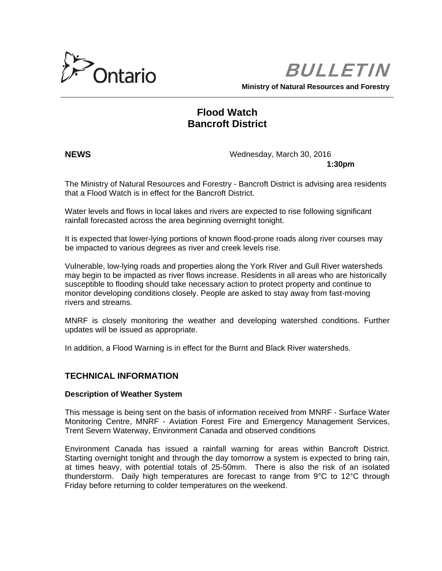

BULLETIN

**Ministry of Natural Resources and Forestry**

# **Flood Watch Bancroft District**

**NEWS** Wednesday, March 30, 2016

**1:30pm**

The Ministry of Natural Resources and Forestry - Bancroft District is advising area residents that a Flood Watch is in effect for the Bancroft District.

Water levels and flows in local lakes and rivers are expected to rise following significant rainfall forecasted across the area beginning overnight tonight.

It is expected that lower-lying portions of known flood-prone roads along river courses may be impacted to various degrees as river and creek levels rise.

Vulnerable, low-lying roads and properties along the York River and Gull River watersheds may begin to be impacted as river flows increase. Residents in all areas who are historically susceptible to flooding should take necessary action to protect property and continue to monitor developing conditions closely. People are asked to stay away from fast-moving rivers and streams.

MNRF is closely monitoring the weather and developing watershed conditions. Further updates will be issued as appropriate.

In addition, a Flood Warning is in effect for the Burnt and Black River watersheds.

## **TECHNICAL INFORMATION**

### **Description of Weather System**

This message is being sent on the basis of information received from MNRF - Surface Water Monitoring Centre, MNRF - Aviation Forest Fire and Emergency Management Services, Trent Severn Waterway, Environment Canada and observed conditions

Environment Canada has issued a rainfall warning for areas within Bancroft District. Starting overnight tonight and through the day tomorrow a system is expected to bring rain, at times heavy, with potential totals of 25-50mm. There is also the risk of an isolated thunderstorm. Daily high temperatures are forecast to range from 9°C to 12°C through Friday before returning to colder temperatures on the weekend.